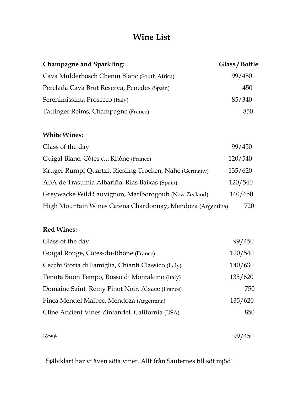## Wine List

| <b>Champagne and Sparkling:</b>              | Glass / Bottle |
|----------------------------------------------|----------------|
| Cava Mulderbosch Chenin Blanc (South Africa) | 99/450         |
| Perelada Cava Brut Reserva, Penedes (Spain)  | 450            |
| Serenimissima Prosecco (Italy)               | 85/340         |
| Tattinger Reims, Champagne (France)          | 850            |

#### White Wines:

| Glass of the day                                           | 99/450  |
|------------------------------------------------------------|---------|
| Guigal Blanc, Côtes du Rhône (France)                      | 120/540 |
| Kruger Rumpf Quartzit Riesling Trocken, Nahe (Germany)     | 135/620 |
| ABA de Trasumia Albariño, Rias Baixas (Spain)              | 120/540 |
| Greywacke Wild Sauvignon, Marlborogouh (New Zeeland)       | 140/650 |
| High Mountain Wines Catena Chardonnay, Mendoza (Argentina) | 720     |

#### Red Wines:

| Glass of the day                                    | 99/450  |
|-----------------------------------------------------|---------|
| Guigal Rouge, Côtes-du-Rhône (France)               | 120/540 |
| Cecchi Storia di Famiglia, Chianti Classico (Italy) | 140/630 |
| Tenuta Buon Tempo, Rosso di Montalcino (Italy)      | 135/620 |
| Domaine Saint Remy Pinot Noir, Alsace (France)      | 750     |
| Finca Mendel Malbec, Mendoza (Argentina)            | 135/620 |
| Cline Ancient Vines Zinfandel, California (USA)     | 850     |

Rosé 99/450

Självklart har vi även söta viner. Allt från Sauternes till söt mjöd!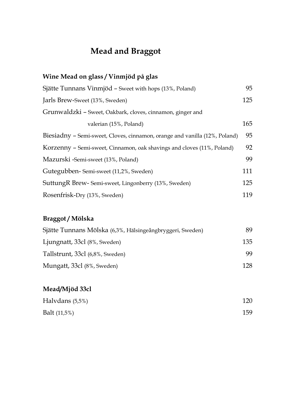# Mead and Braggot

| Wine Mead on glass / Vinmjöd på glas                                       |     |
|----------------------------------------------------------------------------|-----|
| Sjätte Tunnans Vinmjöd – Sweet with hops (13%, Poland)                     | 95  |
| Jarls Brew-Sweet (13%, Sweden)                                             | 125 |
| Grunwaldzki - Sweet, Oakbark, cloves, cinnamon, ginger and                 |     |
| valerian (15%, Poland)                                                     | 165 |
| Biesiadny – Semi-sweet, Cloves, cinnamon, orange and vanilla (12%, Poland) | 95  |
| Korzenny – Semi-sweet, Cinnamon, oak shavings and cloves (11%, Poland)     | 92  |
| Mazurski - Semi-sweet (13%, Poland)                                        | 99  |
| Gutegubben-Semi-sweet (11,2%, Sweden)                                      | 111 |
| SuttungR Brew-Semi-sweet, Lingonberry (13%, Sweden)                        | 125 |
| Rosenfrisk-Dry (13%, Sweden)                                               | 119 |

## Braggot / Mölska

| Sjätte Tunnans Mölska (6,3%, Hälsingeångbryggeri, Sweden) | 89  |
|-----------------------------------------------------------|-----|
| Ljungnatt, 33cl (8%, Sweden)                              | 135 |
| Tallstrunt, 33cl (6,8%, Sweden)                           | 99  |
| Mungatt, 33cl (8%, Sweden)                                | 128 |

## Mead/Mjöd 33cl

| Halvdans (5,5%) | 120 |
|-----------------|-----|
| Balt $(11,5\%)$ | 159 |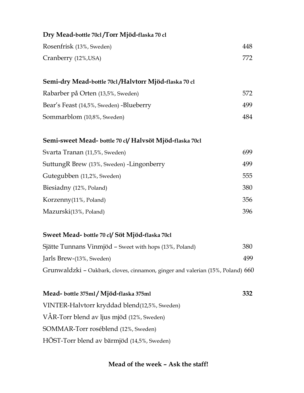| Dry Mead-bottle 70cl/Torr Mjöd-flaska 70 cl |     |
|---------------------------------------------|-----|
| Rosenfrisk (13%, Sweden)                    | 448 |
| Cranberry (12%, USA)                        | 772 |
|                                             |     |

#### Semi-dry Mead-bottle 70cl /Halvtorr Mjöd-flaska 70 cl

| Rabarber på Orten (13,5%, Sweden)       | 572 |
|-----------------------------------------|-----|
| Bear's Feast (14,5%, Sweden) -Blueberry | 499 |
| Sommarblom (10,8%, Sweden)              | 484 |

#### Semi-sweet Mead- bottle 70 cl/ Halvsöt Mjöd-flaska 70cl

| Svarta Tranan (11,5%, Sweden)             | 699 |
|-------------------------------------------|-----|
| SuttungR Brew (13%, Sweden) - Lingonberry | 499 |
| Gutegubben (11,2%, Sweden)                | 555 |
| Biesiadny (12%, Poland)                   | 380 |
| Korzenny(11%, Poland)                     | 356 |
| Mazurski(13%, Poland)                     | 396 |

#### Sweet Mead- bottle 70 cl/ Söt Mjöd-flaska 70cl

| Sjätte Tunnans Vinmjöd – Sweet with hops (13%, Poland)                         | 380  |
|--------------------------------------------------------------------------------|------|
| Jarls Brew-(13%, Sweden)                                                       | 499. |
| Grunwaldzki – Oakbark, cloves, cinnamon, ginger and valerian (15%, Poland) 660 |      |

Mead- bottle 375ml / Mjöd-flaska 375ml 332 VINTER-Halvtorr kryddad blend(12,5%, Sweden) VÅR-Torr blend av ljus mjöd (12%, Sweden) SOMMAR-Torr roséblend (12%, Sweden) HÖST-Torr blend av bärmjöd (14,5%, Sweden)

#### Mead of the week – Ask the staff!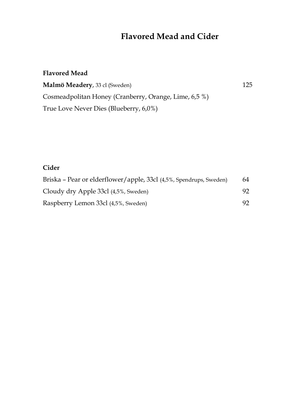## Flavored Mead and Cider

## Flavored Mead Malmö Meadery, 33 cl (Sweden) 125 Cosmeadpolitan Honey (Cranberry, Orange, Lime, 6,5 %) True Love Never Dies (Blueberry, 6,0%)

### Cider

| Briska – Pear or elderflower/apple, 33cl (4,5%, Spendrups, Sweden) | 64  |
|--------------------------------------------------------------------|-----|
| Cloudy dry Apple 33cl (4,5%, Sweden)                               | 92. |
| Raspberry Lemon 33cl (4,5%, Sweden)                                | 92. |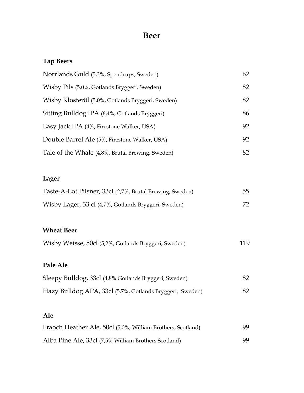## Beer

## Tap Beers

| Norrlands Guld (5,3%, Spendrups, Sweden)          | 62 |
|---------------------------------------------------|----|
| Wisby Pils (5,0%, Gotlands Bryggeri, Sweden)      | 82 |
| Wisby Klosteröl (5,0%, Gotlands Bryggeri, Sweden) | 82 |
| Sitting Bulldog IPA (6,4%, Gotlands Bryggeri)     | 86 |
| Easy Jack IPA (4%, Firestone Walker, USA)         | 92 |
| Double Barrel Ale (5%, Firestone Walker, USA)     | 92 |
| Tale of the Whale (4,8%, Brutal Brewing, Sweden)  | 82 |

### Lager

| Taste-A-Lot Pilsner, 33cl (2,7%, Brutal Brewing, Sweden) | 55 |
|----------------------------------------------------------|----|
| Wisby Lager, 33 cl (4,7%, Gotlands Bryggeri, Sweden)     |    |

### Wheat Beer

|  | Wisby Weisse, 50cl (5,2%, Gotlands Bryggeri, Sweden) |  |
|--|------------------------------------------------------|--|
|  |                                                      |  |

### Pale Ale

| Sleepy Bulldog, 33cl (4,8% Gotlands Bryggeri, Sweden)    | 82 |
|----------------------------------------------------------|----|
| Hazy Bulldog APA, 33cl (5,7%, Gotlands Bryggeri, Sweden) | 82 |

### Ale

| Fraoch Heather Ale, 50cl (5,0%, William Brothers, Scotland) | 99. |
|-------------------------------------------------------------|-----|
| Alba Pine Ale, 33cl (7,5% William Brothers Scotland)        | 99. |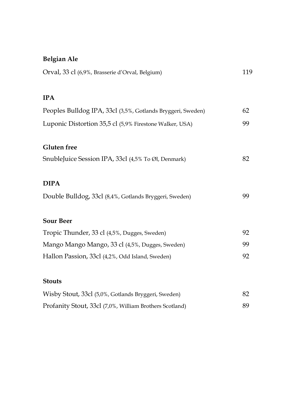## Belgian Ale

| Orval, 33 cl (6,9%, Brasserie d'Orval, Belgium)             | 119 |
|-------------------------------------------------------------|-----|
|                                                             |     |
| <b>IPA</b>                                                  |     |
| Peoples Bulldog IPA, 33cl (3,5%, Gotlands Bryggeri, Sweden) | 62  |
| Luponic Distortion 35,5 cl (5,9% Firestone Walker, USA)     | 99  |
| <b>Gluten</b> free                                          |     |
| SnubleJuice Session IPA, 33cl (4,5% To Øl, Denmark)         | 82  |
| <b>DIPA</b>                                                 |     |
| Double Bulldog, 33cl (8,4%, Gotlands Bryggeri, Sweden)      | 99  |
| <b>Sour Beer</b>                                            |     |
| Tropic Thunder, 33 cl (4,5%, Dugges, Sweden)                | 92  |
| Mango Mango Mango, 33 cl (4,5%, Dugges, Sweden)             | 99  |
| Hallon Passion, 33cl (4,2%, Odd Island, Sweden)             | 92  |
| <b>Stouts</b>                                               |     |
| Wisby Stout, 33cl (5,0%, Gotlands Bryggeri, Sweden)         | 82  |
| Profanity Stout, 33cl (7,0%, William Brothers Scotland)     | 89  |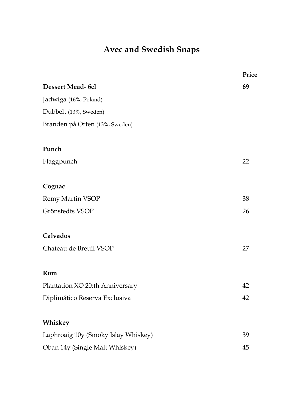# Avec and Swedish Snaps

|                                     | Price |
|-------------------------------------|-------|
| <b>Dessert Mead-6cl</b>             | 69    |
| Jadwiga (16%, Poland)               |       |
| Dubbelt (13%, Sweden)               |       |
| Branden på Orten (13%, Sweden)      |       |
| Punch                               |       |
| Flaggpunch                          | 22    |
| Cognac                              |       |
| <b>Remy Martin VSOP</b>             | 38    |
| Grönstedts VSOP                     | 26    |
| Calvados                            |       |
| Chateau de Breuil VSOP              | 27    |
| Rom                                 |       |
| Plantation XO 20:th Anniversary     | 42    |
| Diplimático Reserva Exclusiva       | 42    |
| Whiskey                             |       |
| Laphroaig 10y (Smoky Islay Whiskey) | 39    |
| Oban 14y (Single Malt Whiskey)      | 45    |